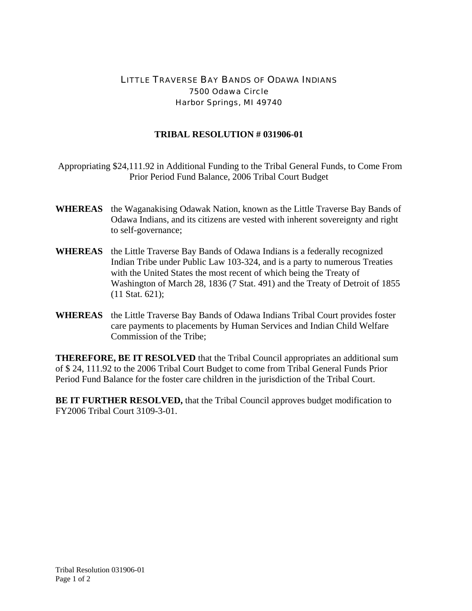## LITTLE TRAVERSE BAY BANDS OF ODAWA INDIANS 7500 Odawa Circle Harbor Springs, MI 49740

## **TRIBAL RESOLUTION # 031906-01**

 Appropriating \$24,111.92 in Additional Funding to the Tribal General Funds, to Come From Prior Period Fund Balance, 2006 Tribal Court Budget

- **WHEREAS** the Waganakising Odawak Nation, known as the Little Traverse Bay Bands of Odawa Indians, and its citizens are vested with inherent sovereignty and right to self-governance;
- **WHEREAS** the Little Traverse Bay Bands of Odawa Indians is a federally recognized Indian Tribe under Public Law 103-324, and is a party to numerous Treaties with the United States the most recent of which being the Treaty of Washington of March 28, 1836 (7 Stat. 491) and the Treaty of Detroit of 1855 (11 Stat. 621);
- **WHEREAS** the Little Traverse Bay Bands of Odawa Indians Tribal Court provides foster care payments to placements by Human Services and Indian Child Welfare Commission of the Tribe;

**THEREFORE, BE IT RESOLVED** that the Tribal Council appropriates an additional sum of \$ 24, 111.92 to the 2006 Tribal Court Budget to come from Tribal General Funds Prior Period Fund Balance for the foster care children in the jurisdiction of the Tribal Court.

**BE IT FURTHER RESOLVED,** that the Tribal Council approves budget modification to FY2006 Tribal Court 3109-3-01.